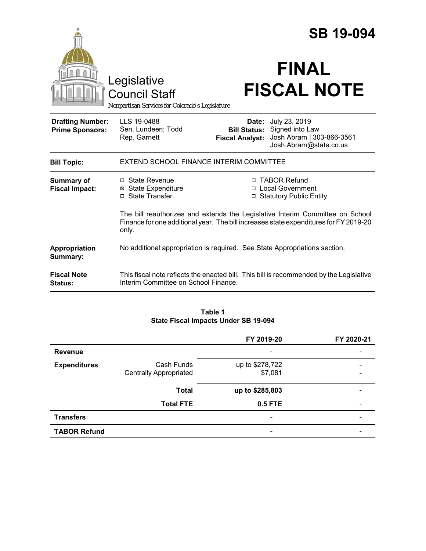|                                                   |                                                                                                                                                                                 | <b>SB 19-094</b>                                                            |                                                                                         |  |
|---------------------------------------------------|---------------------------------------------------------------------------------------------------------------------------------------------------------------------------------|-----------------------------------------------------------------------------|-----------------------------------------------------------------------------------------|--|
|                                                   | Legislative<br><b>Council Staff</b><br>Nonpartisan Services for Colorado's Legislature                                                                                          |                                                                             | <b>FINAL</b><br><b>FISCAL NOTE</b>                                                      |  |
| <b>Drafting Number:</b><br><b>Prime Sponsors:</b> | LLS 19-0488<br>Sen. Lundeen; Todd<br>Rep. Garnett                                                                                                                               | Date:<br><b>Bill Status:</b><br><b>Fiscal Analyst:</b>                      | July 23, 2019<br>Signed into Law<br>Josh Abram   303-866-3561<br>Josh.Abram@state.co.us |  |
| <b>Bill Topic:</b>                                | EXTEND SCHOOL FINANCE INTERIM COMMITTEE                                                                                                                                         |                                                                             |                                                                                         |  |
| <b>Summary of</b><br><b>Fiscal Impact:</b>        | □ State Revenue<br><b>⊠</b> State Expenditure<br>□ State Transfer                                                                                                               | □ TABOR Refund<br>□ Local Government<br><b>Statutory Public Entity</b><br>□ |                                                                                         |  |
|                                                   | The bill reauthorizes and extends the Legislative Interim Committee on School<br>Finance for one additional year. The bill increases state expenditures for FY 2019-20<br>only. |                                                                             |                                                                                         |  |
| Appropriation<br>Summary:                         | No additional appropriation is required. See State Appropriations section.                                                                                                      |                                                                             |                                                                                         |  |
| <b>Fiscal Note</b><br><b>Status:</b>              | Interim Committee on School Finance.                                                                                                                                            |                                                                             | This fiscal note reflects the enacted bill. This bill is recommended by the Legislative |  |

### **Table 1 State Fiscal Impacts Under SB 19-094**

|                     |                               | FY 2019-20               | FY 2020-21               |
|---------------------|-------------------------------|--------------------------|--------------------------|
| <b>Revenue</b>      |                               |                          |                          |
| <b>Expenditures</b> | Cash Funds                    | up to \$278,722          | $\overline{\phantom{0}}$ |
|                     | <b>Centrally Appropriated</b> | \$7,081                  | -                        |
|                     | <b>Total</b>                  | up to \$285,803          |                          |
|                     | <b>Total FTE</b>              | 0.5 FTE                  | -                        |
| <b>Transfers</b>    |                               | $\overline{\phantom{a}}$ |                          |
| <b>TABOR Refund</b> |                               |                          |                          |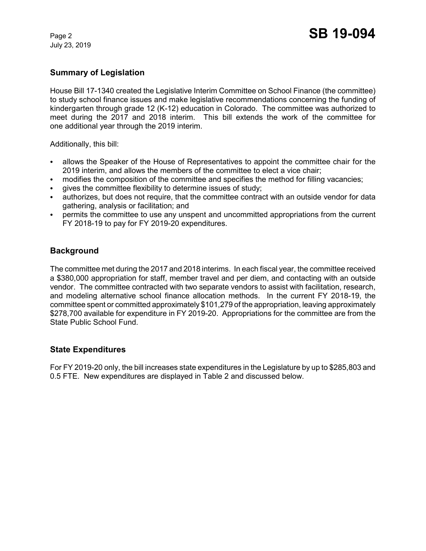July 23, 2019

# **Summary of Legislation**

House Bill 17-1340 created the Legislative Interim Committee on School Finance (the committee) to study school finance issues and make legislative recommendations concerning the funding of kindergarten through grade 12 (K-12) education in Colorado. The committee was authorized to meet during the 2017 and 2018 interim. This bill extends the work of the committee for one additional year through the 2019 interim.

Additionally, this bill:

- C allows the Speaker of the House of Representatives to appoint the committee chair for the 2019 interim, and allows the members of the committee to elect a vice chair;
- modifies the composition of the committee and specifies the method for filling vacancies;
- gives the committee flexibility to determine issues of study;
- authorizes, but does not require, that the committee contract with an outside vendor for data gathering, analysis or facilitation; and
- permits the committee to use any unspent and uncommitted appropriations from the current FY 2018-19 to pay for FY 2019-20 expenditures.

## **Background**

The committee met during the 2017 and 2018 interims. In each fiscal year, the committee received a \$380,000 appropriation for staff, member travel and per diem, and contacting with an outside vendor. The committee contracted with two separate vendors to assist with facilitation, research, and modeling alternative school finance allocation methods. In the current FY 2018-19, the committee spent or committed approximately \$101,279 of the appropriation, leaving approximately \$278,700 available for expenditure in FY 2019-20. Appropriations for the committee are from the State Public School Fund.

#### **State Expenditures**

For FY 2019-20 only, the bill increases state expenditures in the Legislature by up to \$285,803 and 0.5 FTE. New expenditures are displayed in Table 2 and discussed below.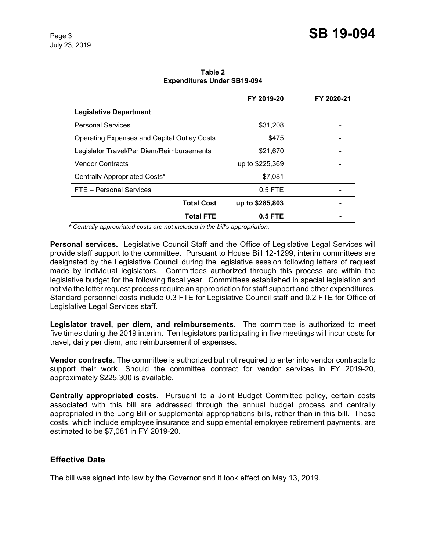|                                                    | FY 2019-20      | FY 2020-21 |
|----------------------------------------------------|-----------------|------------|
| <b>Legislative Department</b>                      |                 |            |
| <b>Personal Services</b>                           | \$31,208        |            |
| <b>Operating Expenses and Capital Outlay Costs</b> | \$475           |            |
| Legislator Travel/Per Diem/Reimbursements          | \$21,670        |            |
| <b>Vendor Contracts</b>                            | up to \$225,369 |            |
| Centrally Appropriated Costs*                      | \$7,081         |            |
| FTE - Personal Services                            | $0.5$ FTE       |            |
| <b>Total Cost</b>                                  | up to \$285,803 |            |
| <b>Total FTE</b>                                   | $0.5$ FTE       |            |

**Table 2 Expenditures Under SB19-094**

*\* Centrally appropriated costs are not included in the bill's appropriation.*

**Personal services.** Legislative Council Staff and the Office of Legislative Legal Services will provide staff support to the committee. Pursuant to House Bill 12-1299, interim committees are designated by the Legislative Council during the legislative session following letters of request made by individual legislators. Committees authorized through this process are within the legislative budget for the following fiscal year. Committees established in special legislation and not via the letter request process require an appropriation for staff support and other expenditures. Standard personnel costs include 0.3 FTE for Legislative Council staff and 0.2 FTE for Office of Legislative Legal Services staff.

**Legislator travel, per diem, and reimbursements.** The committee is authorized to meet five times during the 2019 interim. Ten legislators participating in five meetings will incur costs for travel, daily per diem, and reimbursement of expenses.

**Vendor contracts**. The committee is authorized but not required to enter into vendor contracts to support their work. Should the committee contract for vendor services in FY 2019-20, approximately \$225,300 is available.

**Centrally appropriated costs.** Pursuant to a Joint Budget Committee policy, certain costs associated with this bill are addressed through the annual budget process and centrally appropriated in the Long Bill or supplemental appropriations bills, rather than in this bill. These costs, which include employee insurance and supplemental employee retirement payments, are estimated to be \$7,081 in FY 2019-20.

#### **Effective Date**

The bill was signed into law by the Governor and it took effect on May 13, 2019.